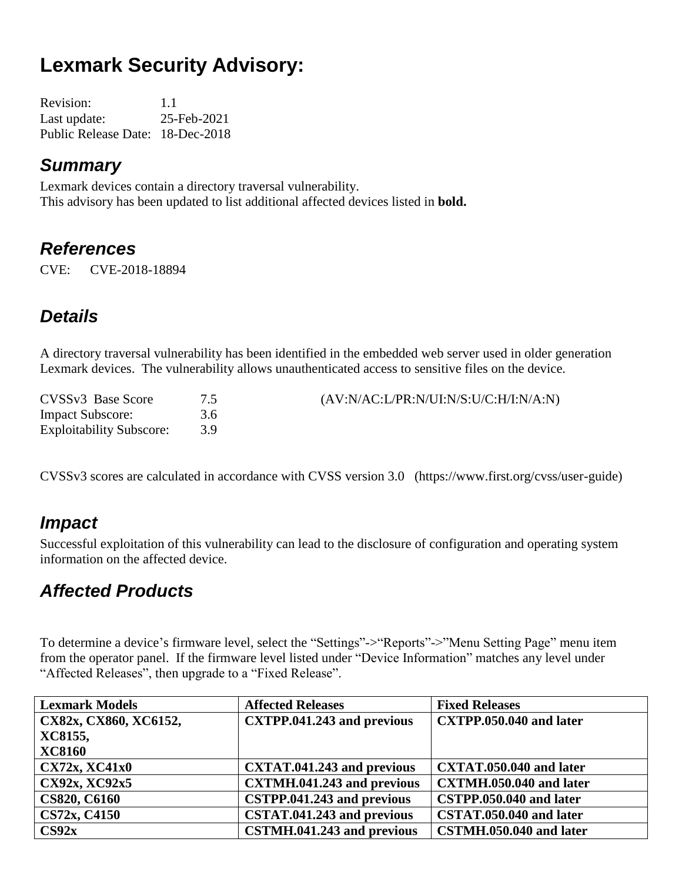# **Lexmark Security Advisory:**

Revision: 1.1 Last update: 25-Feb-2021 Public Release Date: 18-Dec-2018

#### *Summary*

Lexmark devices contain a directory traversal vulnerability. This advisory has been updated to list additional affected devices listed in **bold.**

#### *References*

CVE: CVE-2018-18894

## *Details*

A directory traversal vulnerability has been identified in the embedded web server used in older generation Lexmark devices. The vulnerability allows unauthenticated access to sensitive files on the device.

| CVSSv3 Base Score               |     | (AV:N/AC:L/PR:N/UI:N/S:U/C:H/I:N/A:N) |
|---------------------------------|-----|---------------------------------------|
| <b>Impact Subscore:</b>         | 3.6 |                                       |
| <b>Exploitability Subscore:</b> | 39  |                                       |

CVSSv3 scores are calculated in accordance with CVSS version 3.0 (https://www.first.org/cvss/user-guide)

#### *Impact*

Successful exploitation of this vulnerability can lead to the disclosure of configuration and operating system information on the affected device.

#### *Affected Products*

To determine a device's firmware level, select the "Settings"->"Reports"->"Menu Setting Page" menu item from the operator panel. If the firmware level listed under "Device Information" matches any level under "Affected Releases", then upgrade to a "Fixed Release".

| <b>Lexmark Models</b> | <b>Affected Releases</b>          | <b>Fixed Releases</b>   |
|-----------------------|-----------------------------------|-------------------------|
| CX82x, CX860, XC6152, | <b>CXTPP.041.243 and previous</b> | CXTPP.050.040 and later |
| XC8155,               |                                   |                         |
| <b>XC8160</b>         |                                   |                         |
| <b>CX72x, XC41x0</b>  | CXTAT.041.243 and previous        | CXTAT.050.040 and later |
| CX92x, XC92x5         | <b>CXTMH.041.243 and previous</b> | CXTMH.050.040 and later |
| <b>CS820, C6160</b>   | CSTPP.041.243 and previous        | CSTPP.050.040 and later |
| CS72x, C4150          | CSTAT.041.243 and previous        | CSTAT.050.040 and later |
| CS92x                 | CSTMH.041.243 and previous        | CSTMH.050.040 and later |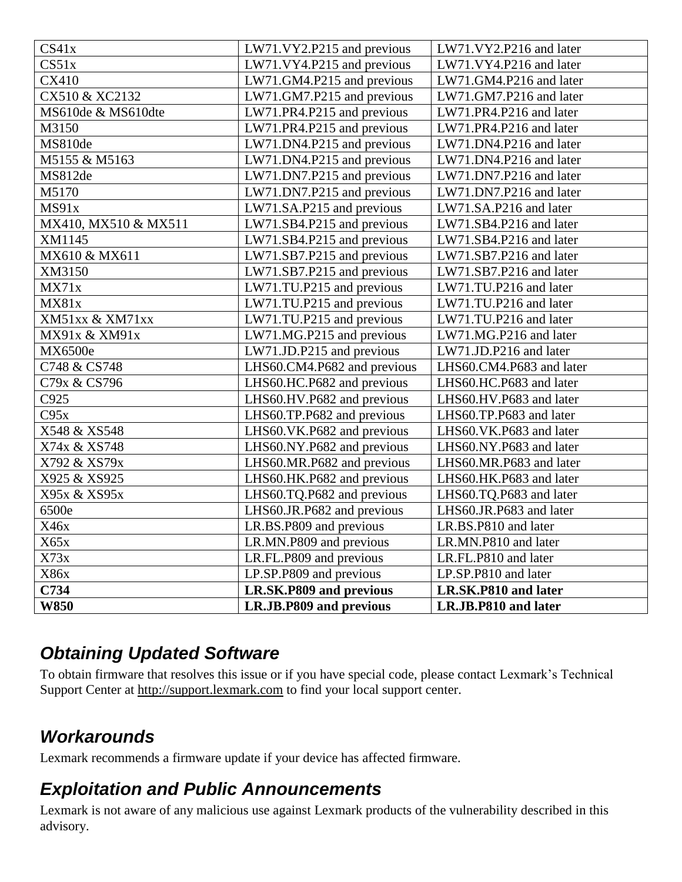| CS41x                | LW71.VY2.P215 and previous  | LW71.VY2.P216 and later  |
|----------------------|-----------------------------|--------------------------|
| CS51x                | LW71.VY4.P215 and previous  | LW71.VY4.P216 and later  |
| CX410                | LW71.GM4.P215 and previous  | LW71.GM4.P216 and later  |
| CX510 & XC2132       | LW71.GM7.P215 and previous  | LW71.GM7.P216 and later  |
| MS610de & MS610dte   | LW71.PR4.P215 and previous  | LW71.PR4.P216 and later  |
| M3150                | LW71.PR4.P215 and previous  | LW71.PR4.P216 and later  |
| MS810de              | LW71.DN4.P215 and previous  | LW71.DN4.P216 and later  |
| M5155 & M5163        | LW71.DN4.P215 and previous  | LW71.DN4.P216 and later  |
| MS812de              | LW71.DN7.P215 and previous  | LW71.DN7.P216 and later  |
| M5170                | LW71.DN7.P215 and previous  | LW71.DN7.P216 and later  |
| MS91x                | LW71.SA.P215 and previous   | LW71.SA.P216 and later   |
| MX410, MX510 & MX511 | LW71.SB4.P215 and previous  | LW71.SB4.P216 and later  |
| XM1145               | LW71.SB4.P215 and previous  | LW71.SB4.P216 and later  |
| MX610 & MX611        | LW71.SB7.P215 and previous  | LW71.SB7.P216 and later  |
| XM3150               | LW71.SB7.P215 and previous  | LW71.SB7.P216 and later  |
| MX71x                | LW71.TU.P215 and previous   | LW71.TU.P216 and later   |
| MX81x                | LW71.TU.P215 and previous   | LW71.TU.P216 and later   |
| XM51xx & XM71xx      | LW71.TU.P215 and previous   | LW71.TU.P216 and later   |
| MX91x & XM91x        | LW71.MG.P215 and previous   | LW71.MG.P216 and later   |
| MX6500e              | LW71.JD.P215 and previous   | LW71.JD.P216 and later   |
| C748 & CS748         | LHS60.CM4.P682 and previous | LHS60.CM4.P683 and later |
| C79x & CS796         | LHS60.HC.P682 and previous  | LHS60.HC.P683 and later  |
| C925                 | LHS60.HV.P682 and previous  | LHS60.HV.P683 and later  |
| C95x                 | LHS60.TP.P682 and previous  | LHS60.TP.P683 and later  |
| X548 & XS548         | LHS60.VK.P682 and previous  | LHS60.VK.P683 and later  |
| X74x & XS748         | LHS60.NY.P682 and previous  | LHS60.NY.P683 and later  |
| X792 & XS79x         | LHS60.MR.P682 and previous  | LHS60.MR.P683 and later  |
| X925 & XS925         | LHS60.HK.P682 and previous  | LHS60.HK.P683 and later  |
| X95x & XS95x         | LHS60.TQ.P682 and previous  | LHS60.TQ.P683 and later  |
| 6500e                | LHS60.JR.P682 and previous  | LHS60.JR.P683 and later  |
| X46x                 | LR.BS.P809 and previous     | LR.BS.P810 and later     |
| X65x                 | LR.MN.P809 and previous     | LR.MN.P810 and later     |
| X73x                 | LR.FL.P809 and previous     | LR.FL.P810 and later     |
| X86x                 | LP.SP.P809 and previous     | LP.SP.P810 and later     |
| C734                 | LR.SK.P809 and previous     | LR.SK.P810 and later     |
| <b>W850</b>          | LR.JB.P809 and previous     | LR.JB.P810 and later     |

## *Obtaining Updated Software*

To obtain firmware that resolves this issue or if you have special code, please contact Lexmark's Technical Support Center at [http://support.lexmark.com](http://support.lexmark.com/) to find your local support center.

## *Workarounds*

Lexmark recommends a firmware update if your device has affected firmware.

## *Exploitation and Public Announcements*

Lexmark is not aware of any malicious use against Lexmark products of the vulnerability described in this advisory.